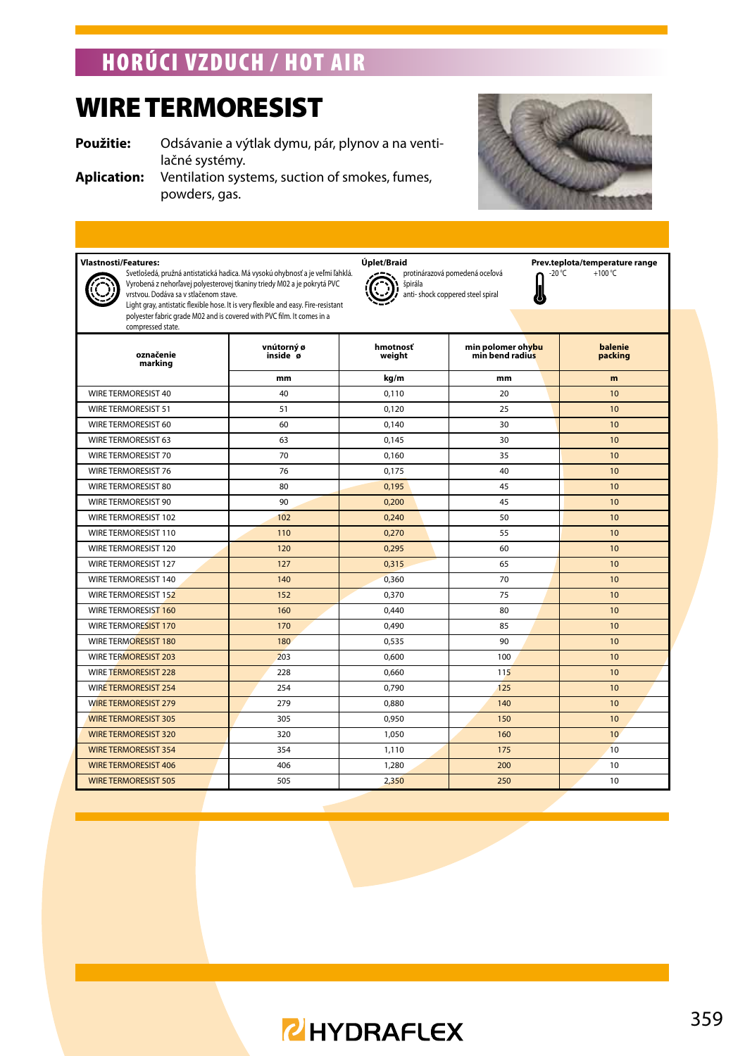### horúci vzduch / HOT AIR

### WIRE TERMORESIST

**Použitie:** Odsávanie a výtlak dymu, pár, plynov a na ventilačné systémy.

**Aplication:** Ventilation systems, suction of smokes, fumes, powders, gas.



J

 $+100 °C$ 

### **Vlastnosti/Features: Viplet/Braid Uplet/Braid** Prev.teplota/temperature range<br>Svetlošedá, pružná antistatická hadica. Má vysokú ohybnosť a je veľmi lahklá. **Verzek,** protinárazová pomedená oceľová **n** 20°C +100°C



Vyrobená z nehorľavej polyesterovej tkaniny triedy M02 a je pokrytá PVC vrstvou. Dodáva sa v stlačenom stave. Light gray, antistatic flexible hose. It is very flexible and easy. Fire-resistant polyester fabric grade M02 and is covered with PVC film. It comes in a compressed state.

| označenie<br>marking        | vnútorný ø<br>inside ø | hmotnosť<br>weight | min polomer ohybu<br>min bend radius | balenie<br>packing<br>m<br>10<br>10<br>10<br>10<br>10<br>10<br>10<br>10 |  |  |
|-----------------------------|------------------------|--------------------|--------------------------------------|-------------------------------------------------------------------------|--|--|
|                             | mm                     | ka/m               | mm                                   |                                                                         |  |  |
| WIRE TERMORESIST 40         | 40                     | 0.110              | 20                                   |                                                                         |  |  |
| <b>WIRE TERMORESIST 51</b>  | 51                     | 0.120              | 25                                   |                                                                         |  |  |
| WIRE TERMORESIST 60         | 60                     | 0.140              | 30                                   |                                                                         |  |  |
| WIRE TERMORESIST 63         | 63                     | 0.145              | 30                                   |                                                                         |  |  |
| WIRE TERMORESIST 70         | 70                     | 0.160              | 35                                   |                                                                         |  |  |
| WIRE TERMORESIST 76         | 76                     | 0.175              | 40                                   |                                                                         |  |  |
| WIRE TERMORESIST 80         | 80                     | 0.195              | 45                                   |                                                                         |  |  |
| WIRE TERMORESIST 90         | 90                     | 0,200              | 45                                   |                                                                         |  |  |
| WIRE TERMORESIST 102        | 102                    | 0.240              | 50                                   | 10                                                                      |  |  |
| WIRE TERMORESIST 110        | 110                    | 0.270              | 55                                   | 10                                                                      |  |  |
| WIRE TERMORESIST 120        | 120                    | 0.295              | 60                                   | 10                                                                      |  |  |
| WIRE TERMORESIST 127        | 127                    | 0.315              | 65                                   | 10                                                                      |  |  |
| WIRE TERMORESIST 140        | 140                    | 0,360              | 70                                   | 10                                                                      |  |  |
| WIRE TERMORESIST 152        | 152                    | 0.370              | 75                                   | 10                                                                      |  |  |
| <b>WIRE TERMORESIST 160</b> | 160                    | 0.440              | 80                                   | 10                                                                      |  |  |
| <b>WIRE TERMORESIST 170</b> | 170                    | 0.490              | 85                                   | 10                                                                      |  |  |
| WIRE TERMORESIST 180        | 180                    | 0.535              | 90                                   | 10                                                                      |  |  |
| <b>WIRE TERMORESIST 203</b> | 203                    | 0.600              | 100                                  | 10                                                                      |  |  |
| <b>WIRE TERMORESIST 228</b> | 228                    | 0.660              | 115                                  | 10                                                                      |  |  |
| <b>WIRE TERMORESIST 254</b> | 254                    | 0.790              | 125                                  | 10                                                                      |  |  |
| <b>WIRE TERMORESIST 279</b> | 279                    | 0.880              | 140                                  | 10                                                                      |  |  |
| <b>WIRE TERMORESIST 305</b> | 305                    | 0.950              | 150                                  | 10                                                                      |  |  |
| <b>WIRE TERMORESIST 320</b> | 320                    | 1.050              | 160                                  | 10 <sup>10</sup>                                                        |  |  |
| <b>WIRE TERMORESIST 354</b> | 354                    | 1.110              | 175                                  | 10                                                                      |  |  |
| <b>WIRE TERMORESIST 406</b> | 406                    | 1.280              | 200                                  | 10                                                                      |  |  |
| <b>WIRE TERMORESIST 505</b> | 505                    | 2,350              | 250                                  | 10                                                                      |  |  |

protinárazová pomedená oceľová

anti- shock coppered steel spiral

špirála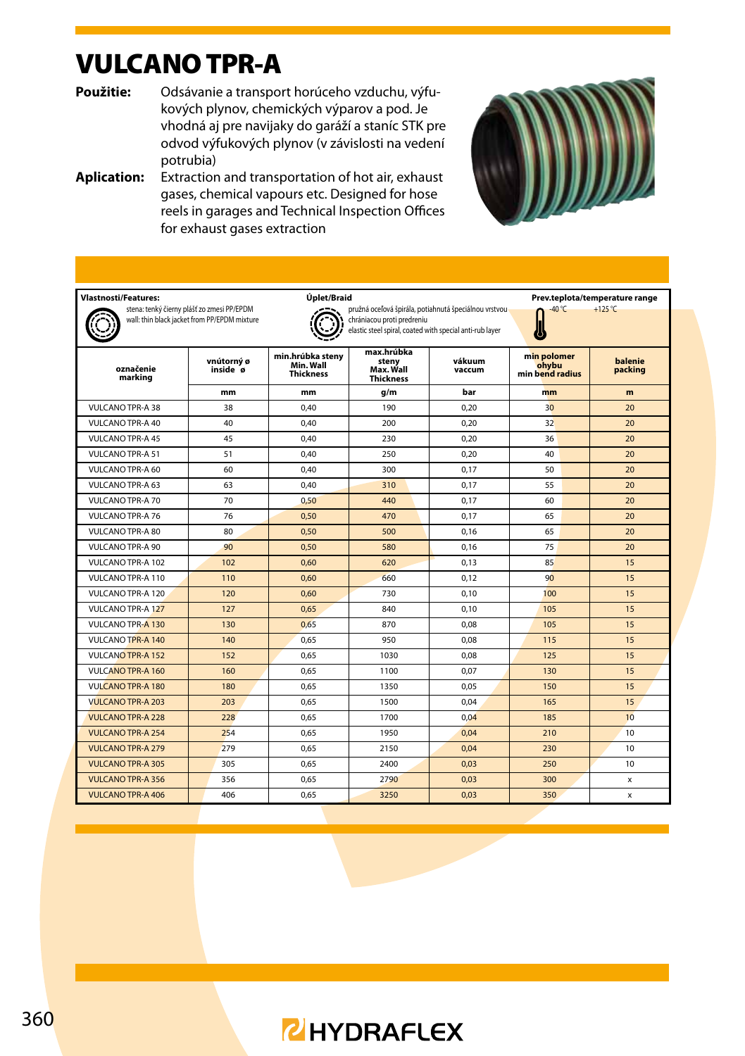### VULCANO TPR-A

**Použitie:** Odsávanie a transport horúceho vzduchu, výfukových plynov, chemických výparov a pod. Je vhodná aj pre navijaky do garáží a staníc STK pre odvod výfukových plynov (v závislosti na vedení potrubia)

**Aplication:** Extraction and transportation of hot air, exhaust gases, chemical vapours etc. Designed for hose reels in garages and Technical Inspection Offices for exhaust gases extraction



| <b>Vlastnosti/Features:</b> | Úplet/Braid<br>Prev.teplota/temperature range                                              |                                                   |                                                                                                                                                  |                                                             |        |                    |  |  |
|-----------------------------|--------------------------------------------------------------------------------------------|---------------------------------------------------|--------------------------------------------------------------------------------------------------------------------------------------------------|-------------------------------------------------------------|--------|--------------------|--|--|
|                             | stena: tenký čierny plášť zo zmesi PP/EPDM<br>wall: thin black jacket from PP/EPDM mixture |                                                   | pružná oceľová špirála, potiahnutá špeciálnou vrstvou-<br>chrániacou proti predreniu<br>elastic steel spiral, coated with special anti-rub layer |                                                             | -40 °C | $+125^{\circ}$ C   |  |  |
| označenie<br>marking        | vnútorný ø<br>inside ø                                                                     | min.hrúbka stenv<br>Min. Wall<br><b>Thickness</b> | max.hrúbka<br>stenv<br>Max. Wall<br><b>Thickness</b>                                                                                             | min polomer<br>vákuum<br>ohvbu<br>vaccum<br>min bend radius |        | balenie<br>packing |  |  |
|                             | mm                                                                                         | mm                                                | q/m                                                                                                                                              | bar                                                         | mm     | m                  |  |  |
| VULCANO TPR-A 38            | 38                                                                                         | 0.40                                              | 190                                                                                                                                              | 0.20                                                        | 30     | 20 <sub>0</sub>    |  |  |
| <b>VULCANO TPR-A 40</b>     | 40                                                                                         | 0.40                                              | 200                                                                                                                                              | 0.20                                                        | 32     | 20                 |  |  |
| <b>VULCANO TPR-A 45</b>     | 45                                                                                         | 0.40                                              | 230                                                                                                                                              | 0.20                                                        | 36     | 20                 |  |  |
| <b>VULCANO TPR-A 51</b>     | 51                                                                                         | 0.40                                              | 250                                                                                                                                              | 0,20                                                        | 40     | 20                 |  |  |
| VULCANO TPR-A 60            | 60                                                                                         | 0.40                                              | 300                                                                                                                                              | 0.17                                                        | 50     | 20                 |  |  |
| VULCANO TPR-A 63            | 63                                                                                         | 0.40                                              | 310                                                                                                                                              | 0.17                                                        | 55     | 20                 |  |  |
| VULCANO TPR-A 70            | 70                                                                                         | 0.50                                              | 440                                                                                                                                              | 0.17                                                        | 60     | 20 <sub>2</sub>    |  |  |
| <b>VULCANO TPR-A 76</b>     | 76                                                                                         | 0.50                                              | 470                                                                                                                                              | 0.17                                                        | 65     | 20                 |  |  |
| VULCANO TPR-A 80            | 80                                                                                         | 0.50                                              | 500                                                                                                                                              | 0.16                                                        | 65     | 20 <sub>2</sub>    |  |  |
| VULCANO TPR-A 90            | 90                                                                                         | 0.50                                              | 580                                                                                                                                              | 0.16                                                        | 75     | 20 <sub>2</sub>    |  |  |
| VULCANO TPR-A 102           | 102                                                                                        | 0.60                                              | 620                                                                                                                                              | 0.13                                                        | 85     | 15                 |  |  |
| VULCANO TPR-A 110           | 110                                                                                        | 0.60                                              | 660                                                                                                                                              | 0.12                                                        | 90     | 15                 |  |  |
| VULCANO TPR-A 120           | 120                                                                                        | 0.60                                              | 730                                                                                                                                              | 0.10                                                        | 100    | 15                 |  |  |
| <b>VULCANO TPR-A 127</b>    | 127                                                                                        | 0.65                                              | 840                                                                                                                                              | 0.10                                                        | 105    | 15                 |  |  |
| VULCANO TPR-A 130           | 130                                                                                        | 0.65                                              | 870                                                                                                                                              | 0.08                                                        | 105    | 15                 |  |  |
| <b>VULCANO TPR-A 140</b>    | 140                                                                                        | 0.65                                              | 950                                                                                                                                              | 0.08                                                        | 115    | 15                 |  |  |
| <b>VULCANO TPR-A 152</b>    | 152                                                                                        | 0.65                                              | 1030                                                                                                                                             | 0.08                                                        | 125    | 15                 |  |  |
| VULCANO TPR-A 160           | 160                                                                                        | 0.65                                              | 1100                                                                                                                                             | 0.07                                                        | 130    | 15                 |  |  |
| VULCANO TPR-A 180           | 180                                                                                        | 0.65                                              | 1350                                                                                                                                             | 0,05                                                        | 150    | 15                 |  |  |
| <b>VULCANO TPR-A 203</b>    | 203                                                                                        | 0.65                                              | 1500                                                                                                                                             | 0.04                                                        | 165    | 15                 |  |  |
| VULCANO TPR-A 228           | 228                                                                                        | 0.65                                              | 1700                                                                                                                                             | 0.04                                                        | 185    | 10 <sup>10</sup>   |  |  |
| VULCANO TPR-A 254           | 254                                                                                        | 0.65                                              | 1950                                                                                                                                             | 0.04                                                        | 210    | 10 <sup>10</sup>   |  |  |
| <b>VULCANO TPR-A 279</b>    | 279                                                                                        | 0.65                                              | 2150                                                                                                                                             | 0,04                                                        | 230    | 10 <sup>1</sup>    |  |  |
| VULCANO TPR-A 305           | 305                                                                                        | 0.65                                              | 2400                                                                                                                                             | 0.03                                                        | 250    | 10 <sup>1</sup>    |  |  |
| <b>VULCANO TPR-A 356</b>    | 356                                                                                        | 0.65                                              | 2790                                                                                                                                             | 0.03                                                        | 300    | x                  |  |  |
| <b>VULCANO TPR-A 406</b>    | 406                                                                                        | 0,65                                              | 3250                                                                                                                                             | 0,03                                                        | 350    | x                  |  |  |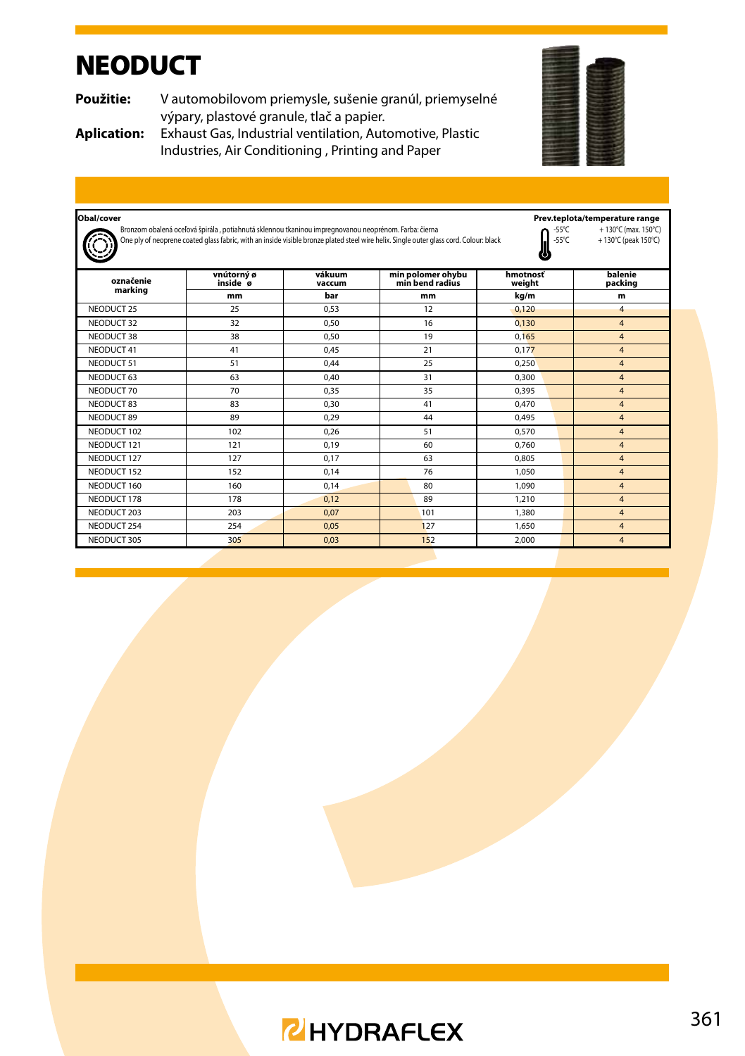### **NEODUCT**

**Použitie:** V automobilovom priemysle, sušenie granúl, priemyselné výpary, plastové granule, tlač a papier.



**Aplication:** Exhaust Gas, Industrial ventilation, Automotive, Plastic Industries, Air Conditioning , Printing and Paper

| Obal/cover  |                                                                                                      |                  |                                                                                                                                        |                          | Prev.teplota/temperature range             |
|-------------|------------------------------------------------------------------------------------------------------|------------------|----------------------------------------------------------------------------------------------------------------------------------------|--------------------------|--------------------------------------------|
|             | Bronzom obalená oceľová špirála, potiahnutá sklennou tkaninou impregnovanou neoprénom. Farba: čierna |                  | One ply of neoprene coated glass fabric, with an inside visible bronze plated steel wire helix. Single outer glass cord. Colour: black | -55°C<br>$-55^{\circ}$ C | +130°C (max. 150°C)<br>+130°C (peak 150°C) |
| označenie   | vnútorný ø<br>inside ø                                                                               | vákuum<br>vaccum | min polomer ohybu<br>min bend radius                                                                                                   | hmotnosť<br>weight       | balenie<br>packing                         |
| marking     | mm                                                                                                   | bar              | mm                                                                                                                                     | kg/m                     | m                                          |
| NFODUCT 25  | 25                                                                                                   | 0.53             | 12                                                                                                                                     | 0.120                    | $\overline{4}$                             |
| NFODUCT 32  | 32                                                                                                   | 0.50             | 16                                                                                                                                     | 0.130                    | $\overline{4}$                             |
| NFODUCT 38  | 38                                                                                                   | 0.50             | 19                                                                                                                                     | 0.165                    | $\overline{4}$                             |
| NFODUCT 41  | 41                                                                                                   | 0.45             | 21                                                                                                                                     | 0.177                    | $\overline{4}$                             |
| NFODUCT 51  | 51                                                                                                   | 0.44             | 25                                                                                                                                     | 0.250                    | $\overline{\mathbf{4}}$                    |
| NFODUCT 63  | 63                                                                                                   | 0.40             | 31                                                                                                                                     | 0.300                    | $\overline{4}$                             |
| NFODUCT 70  | 70                                                                                                   | 0.35             | 35                                                                                                                                     | 0.395                    | $\overline{4}$                             |
| NFODUCT 83  | 83                                                                                                   | 0.30             | 41                                                                                                                                     | 0.470                    | $\overline{4}$                             |
| NFODUCT 89  | 89                                                                                                   | 0.29             | 44                                                                                                                                     | 0.495                    | $\overline{4}$                             |
| NFODUCT 102 | 102                                                                                                  | 0.26             | 51                                                                                                                                     | 0.570                    | $\overline{4}$                             |
| NFODUCT 121 | 121                                                                                                  | 0.19             | 60                                                                                                                                     | 0.760                    | $\overline{4}$                             |
| NFODUCT 127 | 127                                                                                                  | 0.17             | 63                                                                                                                                     | 0.805                    | $\overline{4}$                             |
| NFODUCT 152 | 152                                                                                                  | 0.14             | 76                                                                                                                                     | 1.050                    | $\overline{4}$                             |
| NFODUCT 160 | 160                                                                                                  | 0.14             | 80                                                                                                                                     | 1.090                    | $\overline{\mathbf{4}}$                    |
| NFODUCT 178 | 178                                                                                                  | 0.12             | 89                                                                                                                                     | 1,210                    | $\overline{4}$                             |
| NFODUCT 203 | 203                                                                                                  | 0.07             | 101                                                                                                                                    | 1,380                    | $\overline{4}$                             |
| NEODUCT 254 | 254                                                                                                  | 0.05             | 127                                                                                                                                    | 1.650                    | $\overline{4}$                             |
| NEODUCT 305 | 305                                                                                                  | 0.03             | 152                                                                                                                                    | 2.000                    | $\overline{4}$                             |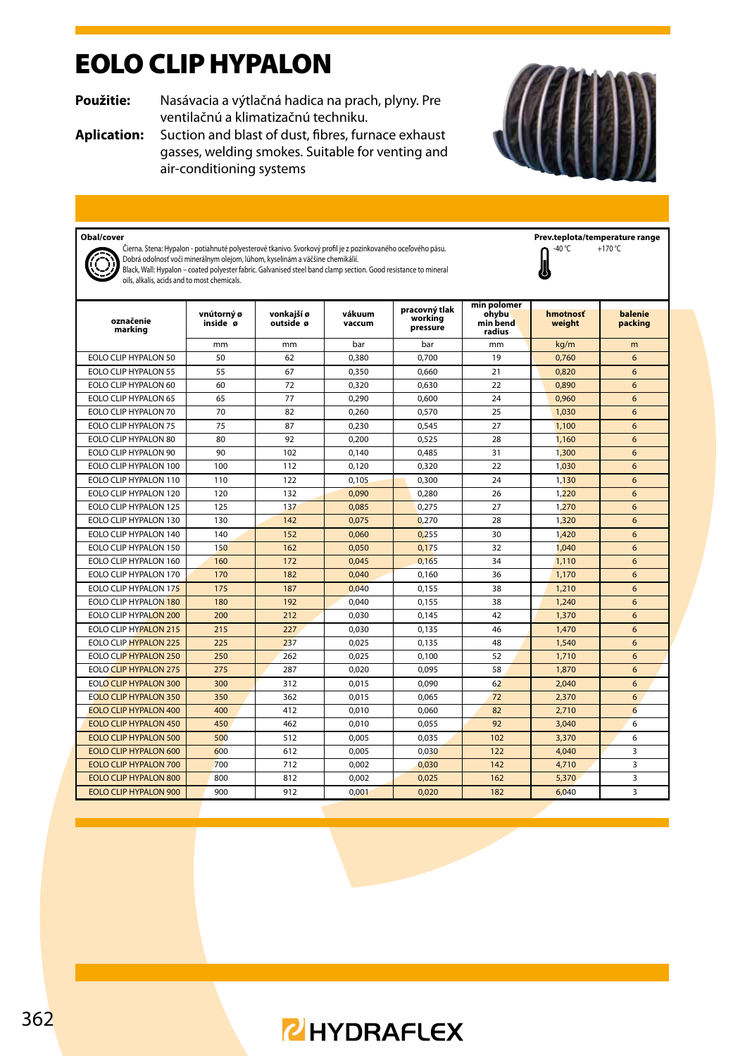### EOLO CLIP HYPALON

**Použitie:** Nasávacia a výtlačná hadica na prach, plyny. Pre ventilačnú a klimatizačnú techniku.

**Aplication:** Suction and blast of dust, fibres, furnace exhaust gasses, welding smokes. Suitable for venting and air-conditioning systems



n

 $+170 °C$ 

**Obal/cover**<br>Ciana Stana: Hunalon . notiabuttá robustarouá tkanius Suotkuvi profilia z pozipkovanáho oseľováho nácu **prev. Prev.teplota/temperature range** Čierna. Stena: Hypalon - potiahnuté polyesterové tkanivo. Svorkový profil je z pozinkovaného oceľového pásu.

Dobrá odolnosť voči minerálnym olejom, lúhom, kyselinám a väčšine chemikálií.

Black, Wall: Hypalon – coated polyester fabric. Galvanised steel band clamp section. Good resistance to mineral oils, alkalis, acids and to most chemicals.

**označenie marking vnútorný ø inside ø vonkajší ø outside ø vákuum vaccum pracovný tlak working pressure min polomer ohybu min bend radius hmotnosť weight balenie packing** mm | mm | bar | bar | mm <mark>| kg/m | m</mark> EOLO CLIP HYPALON 50 | 50 | 62 | 0,380 | 0,700 | 19 | 0,7<mark>60 |</mark> 6 EOLO CLIP HYPALON 55 | 55 | 67 | 0,350 | 0,660 | 21 | 0,820 | 6 EOLO CLIP HYPALON 60 60 72 0,320 0,630 22 0,890 6 EOLO CLIP HYPALON 65 65 77 0,290 0,600 24 0,960 6 EOLO CLIP HYPALON 70 70 82 0,260 0,570 25 1,030 6 EOLO CLIP HYPALON 75 75 87 0,230 0,545 27 1,100 6 EOLO CLIP HYPALON 80 80 92 0,200 0,525 28 1,160 6 EOLO CLIP HYPALON 90 | 90 | 102 | 0,140 | 0,485 | 31 | 1,<mark>300 |</mark> 6 EOLO CLIP HYPALON 100 | 100 | 112 | 0,120 | 0,320 | 22 | 1,<mark>030 |</mark> 6 EOLO CLIP HYPALON 110 110 122 0,105 0,300 24 1,<mark>130 6</mark><br>FOLO CLIP HYPALON 120 120 132 0,090 0,280 26 1,220 6 EOLO CLIP HYPALON 120 120 132 0,090 0,280 26 1,220 6 EOLO CLIP HYPALON 125 125 137 0,085 0,275 27 1,<mark>270 6</mark> EOLO CLIP HYPALON 130 130 142 0,075 0,270 28 1,320 6 EOLO CLIP HYPALON 140 | 140 | 152 | 0,060 | 0,255 | 30 | 1,420 | 6 EOLO CLIP HYPALON 150 | 150 | 162 | 0,050 | 0,175 | 32 | 1,040 | 6 EOLO CLIP HYPALON 160 160 172 0.045 0.165 34 1110 6 EOLO CLIP HYPALON 170 170 182 0,040 0,160 36 1,170 6 EOLO CLIP HYPALON 175 175 187 0,040 0,155 38 1,210 6 EOLO CLIP HYPALON 180 180 192 0,040 0,155 38 1,240 6 EOLO CLIP HYPALON 200 200 212 0,030 0,145 42 1,370 6 EOLO CLIP HYP<mark>ALON 215</mark> 215 227 0,030 0,135 46 1,470 66 EOLO CLIP HYPALON 225 225 237 0,025 0.135 48 1.540 6 EOLO CLIP HYPALON 250 250 262 0,025 0,100 52 1,710 6 EOLO CLIP HYPALON 275 275 287 0.020 0.095 58 1,870 6 EOLO CLIP HYPALON 300 300 312 0,015 0,090 62 2,040 6 EOLO CLIP HYPALON 350 350 362 0,015 0,065 72 2,370 6 EOLO CLIP HYPALON 400 400 412 0,010 0,060 82 2,710 6 EOLO CLIP HYPALON 450 | 450 | 462 | 0,010 | 0,055 | 92 | 3,040 | 6 EOLO CLIP HYPALON 500 500 512 0,005 0,035 102 3,370 6 EOLO CLIP HYPALON 600 600 612 0,005 0,030 122 4,040 3 EOLO CLIP HYPALON 700 700 712 0,002 0,030 142 4,710 3 EOLO CLIP HYPALON 800 800 812 0,002 0,025 162 5,370 3 EOLO CLIP HYPALON 900 900 912 0,001 0,020 182 6,040 3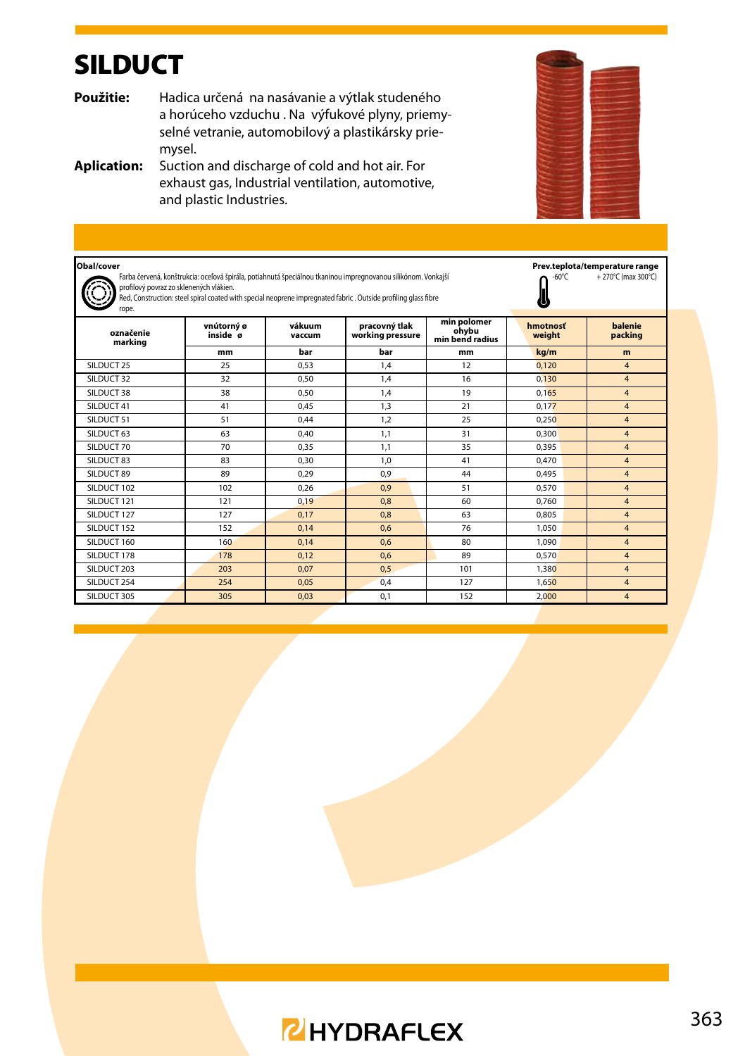### SILDUCT

**Použitie:** Hadica určená na nasávanie a výtlak studeného a horúceho vzduchu . Na výfukové plyny, priemyselné vetranie, automobilový a plastikársky priemysel.

**Aplication:** Suction and discharge of cold and hot air. For exhaust gas, Industrial ventilation, automotive, and plastic Industries.

| Obal/cover<br>Farba červená, konštrukcia: oceľová špirála, potiahnutá špeciálnou tkaninou impregnovanou silikónom. Vonkajší<br>profilový povraz zo sklenených vlákien.<br>Red, Construction: steel spiral coated with special neoprene impregnated fabric . Outside profiling glass fibre<br>rope. | $-60^{\circ}$ C        | Prev.teplota/temperature range<br>+270°C (max 300°C) |                                   |                                         |                    |                    |
|----------------------------------------------------------------------------------------------------------------------------------------------------------------------------------------------------------------------------------------------------------------------------------------------------|------------------------|------------------------------------------------------|-----------------------------------|-----------------------------------------|--------------------|--------------------|
| označenie<br>marking                                                                                                                                                                                                                                                                               | vnútorný ø<br>inside ø | vákuum<br>vaccum                                     | pracovný tlak<br>working pressure | min polomer<br>ohvbu<br>min bend radius | hmotnosť<br>weight | balenie<br>packing |
|                                                                                                                                                                                                                                                                                                    | mm                     | bar                                                  | bar                               | mm                                      | kg/m               | m                  |
| SILDUCT 25                                                                                                                                                                                                                                                                                         | 25                     | 0.53                                                 | 1.4                               | 12                                      | 0.120              | $\overline{4}$     |
| SILDUCT 32                                                                                                                                                                                                                                                                                         | 32                     | 0.50                                                 | 1.4                               | 16                                      | 0.130              | $\overline{4}$     |
| SILDUCT 38                                                                                                                                                                                                                                                                                         | 38                     | 0.50                                                 | 1.4                               | 19                                      | 0.165              | $\overline{4}$     |
| SII DUCT 41                                                                                                                                                                                                                                                                                        | 41                     | 0.45                                                 | 1.3                               | 21                                      | 0.177              | $\overline{4}$     |
| SILDUCT 51                                                                                                                                                                                                                                                                                         | 51                     | 0.44                                                 | 1.2                               | 25                                      | 0.250              | $\overline{4}$     |
| SILDUCT 63                                                                                                                                                                                                                                                                                         | 63                     | 0.40                                                 | 1.1                               | 31                                      | 0.300              | $\overline{4}$     |
| SILDUCT 70                                                                                                                                                                                                                                                                                         | 70                     | 0.35                                                 | 1.1                               | 35                                      | 0.395              | $\overline{4}$     |
| SILDUCT 83                                                                                                                                                                                                                                                                                         | 83                     | 0.30                                                 | 1.0                               | 41                                      | 0.470              | $\overline{4}$     |
| SILDUCT 89                                                                                                                                                                                                                                                                                         | 89                     | 0.29                                                 | 0.9                               | 44                                      | 0.495              | $\overline{4}$     |
| SILDUCT 102                                                                                                                                                                                                                                                                                        | 102                    | 0.26                                                 | 0.9                               | 51                                      | 0.570              | $\overline{4}$     |
| SILDUCT 121                                                                                                                                                                                                                                                                                        | 121                    | 0.19                                                 | 0.8                               | 60                                      | 0.760              | $\overline{4}$     |
| SILDUCT 127                                                                                                                                                                                                                                                                                        | 127                    | 0.17                                                 | 0.8                               | 63                                      | 0.805              | $\overline{4}$     |
| SILDUCT 152                                                                                                                                                                                                                                                                                        | 152                    | 0.14                                                 | 0.6                               | 76                                      | 1.050              | $\overline{4}$     |
| SILDUCT 160                                                                                                                                                                                                                                                                                        | 160                    | 0.14                                                 | 0.6                               | 80                                      | 1.090              | $\overline{4}$     |
| SILDUCT 178                                                                                                                                                                                                                                                                                        | 178                    | 0.12                                                 | 0.6                               | 89                                      | 0.570              | $\overline{4}$     |
| SILDUCT 203                                                                                                                                                                                                                                                                                        | 203                    | 0.07                                                 | 0.5                               | 101                                     | 1,380              | $\overline{4}$     |
| SII DUCT 254                                                                                                                                                                                                                                                                                       | 254                    | 0.05                                                 | 0.4                               | 127                                     | 1.650              | $\overline{4}$     |
| SILDUCT 305                                                                                                                                                                                                                                                                                        | 305                    | 0.03                                                 | 0.1                               | 152                                     | 2.000              | $\overline{4}$     |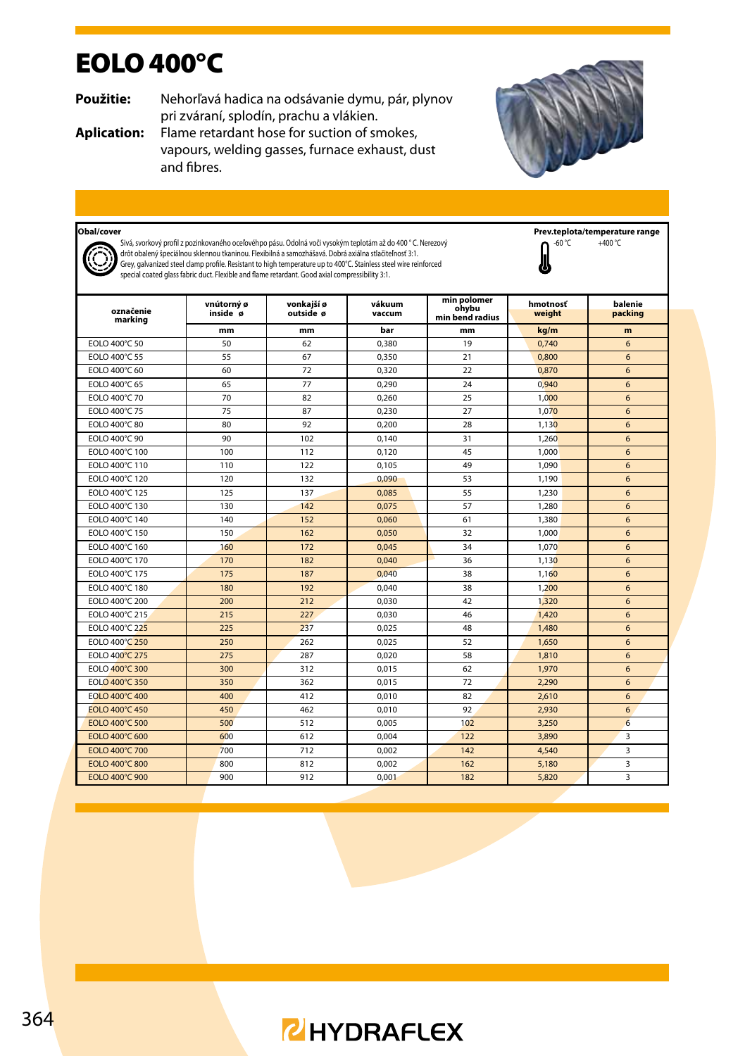### EOLO 400°C

**Použitie:** Nehorľavá hadica na odsávanie dymu, pár, plynov pri zváraní, splodín, prachu a vlákien.

**Aplication:** Flame retardant hose for suction of smokes, vapours, welding gasses, furnace exhaust, dust and fibres.



### **Obal/cover**



Sivá, svorkový profil z pozinkovaného oceľovéhpo pásu. Odolná voči vysokým teplotám až do 400 ° C. Nerezový drôt obalený špeciálnou sklennou tkaninou. Flexibilná a samozhášavá. Dobrá axiálna stlačiteľnosť 3:1. Grey, galvanized steel clamp profile. Resistant to high temperature up to 400°C. Stainless steel wire reinforced special coated glass fabric duct. Flexible and flame retardant. Good axial compressibility 3:1.

**Prev.teplota/temperature range**<br> **O** -60 °C +400 °C  $+400 °C$ 



| označenie<br>marking | vnútorný ø<br>inside ø | vonkajší ø<br>outside ø | vákuum<br>vaccum | min polomer<br>ohvbu<br>min bend radius | hmotnosť<br>weight | balenie<br>packing |
|----------------------|------------------------|-------------------------|------------------|-----------------------------------------|--------------------|--------------------|
|                      | mm                     | mm                      | bar              | mm                                      | kg/m               | m                  |
| EOLO 400°C 50        | 50                     | 62                      | 0.380            | 19                                      | 0.740              | 6                  |
| FOI O 400°C 55       | 55                     | 67                      | 0.350            | 21                                      | 0.800              | 6                  |
| EOLO 400°C 60        | 60                     | 72                      | 0.320            | 22                                      | 0.870              | 6                  |
| FOI O 400°C 65       | 65                     | 77                      | 0,290            | 24                                      | 0.940              | 6                  |
| EOLO 400°C 70        | 70                     | 82                      | 0,260            | 25                                      | 1.000              | 6                  |
| EOLO 400°C 75        | 75                     | 87                      | 0,230            | 27                                      | 1,070              | 6                  |
| EOLO 400°C 80        | 80                     | 92                      | 0,200            | 28                                      | 1.130              | 6                  |
| EOLO 400°C 90        | 90                     | 102                     | 0.140            | 31                                      | 1.260              | 6                  |
| EOLO 400°C 100       | 100                    | 112                     | 0.120            | 45                                      | 1.000              | 6                  |
| EOLO 400°C 110       | 110                    | 122                     | 0.105            | 49                                      | 1.090              | 6                  |
| EOLO 400°C 120       | 120                    | 132                     | 0.090            | 53                                      | 1.190              | 6                  |
| EOLO 400°C 125       | 125                    | 137                     | 0.085            | 55                                      | 1,230              | 6                  |
| EOLO 400°C 130       | 130                    | 142                     | 0,075            | 57                                      | 1,280              | 6                  |
| EOLO 400°C 140       | 140                    | 152                     | 0.060            | 61                                      | 1,380              | 6                  |
| EOLO 400°C 150       | 150                    | 162                     | 0.050            | 32                                      | 1.000              | 6                  |
| EOLO 400°C 160       | 160                    | 172                     | 0.045            | 34                                      | 1.070              | 6                  |
| EOLO 400°C 170       | 170                    | 182                     | 0.040            | 36                                      | 1.130              | 6                  |
| EOLO 400°C 175       | 175                    | 187                     | 0.040            | 38                                      | 1.160              | 6                  |
| EOLO 400°C 180       | 180                    | 192                     | 0.040            | 38                                      | 1,200              | 6                  |
| EOLO 400°C 200       | 200                    | 212                     | 0.030            | 42                                      | 1,320              | 6                  |
| EOLO 400°C 215       | 215                    | 227                     | 0.030            | 46                                      | 1,420              | 6                  |
| EOLO 400°C 225       | 225                    | 237                     | 0.025            | 48                                      | 1,480              | 6                  |
| EOLO 400°C 250       | 250                    | 262                     | 0.025            | 52                                      | 1.650              | 6                  |
| EOLO 400°C 275       | 275                    | 287                     | 0.020            | 58                                      | 1.810              | 6                  |
| EOLO 400°C 300       | 300                    | 312                     | 0.015            | 62                                      | 1.970              | 6                  |
| EOLO 400°C 350       | 350                    | 362                     | 0,015            | 72                                      | 2,290              | 6                  |
| EOLO 400°C 400       | 400                    | 412                     | 0.010            | 82                                      | 2.610              | 6                  |
| FOI O 400°C 450      | 450                    | 462                     | 0.010            | 92                                      | 2.930              | 6                  |
| EOLO 400°C 500       | 500                    | 512                     | 0.005            | 102                                     | 3.250              | 6                  |
| EOLO 400°C 600       | 600                    | 612                     | 0.004            | 122                                     | 3,890              | 3                  |
| EOLO 400°C 700       | 700                    | 712                     | 0,002            | 142                                     | 4,540              | 3                  |
| EOLO 400°C 800       | 800                    | 812                     | 0,002            | 162                                     | 5,180              | 3                  |
| FOI O 400°C 900      | 900                    | 912                     | 0.001            | 182                                     | 5.820              | 3                  |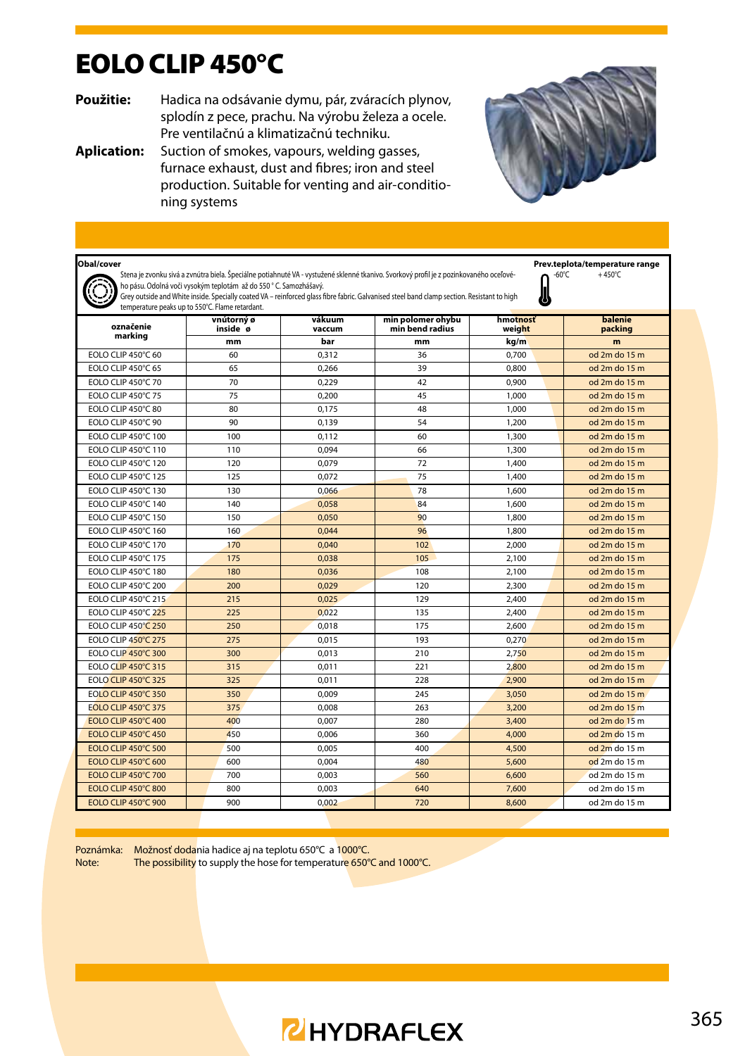### EOLO CLIP 450°C

**Použitie:** Hadica na odsávanie dymu, pár, zváracích plynov, splodín z pece, prachu. Na výrobu železa a ocele. Pre ventilačnú a klimatizačnú techniku.

**Aplication:** Suction of smokes, vapours, welding gasses, furnace exhaust, dust and fibres; iron and steel production. Suitable for venting and air-conditioning systems



| Obal/cover<br>Prev.teplota/temperature range<br>Stena je zvonku sivá a zvnútra biela. Špeciálne potiahnuté VA - vystužené sklenné tkanivo. Svorkový profil je z pozinkovaného oceľové-<br>$-60^{\circ}$ C<br>$+450^{\circ}$ C<br>ho pásu. Odolná voči vysokým teplotám až do 550 ° C. Samozhášavý.<br>Grey outside and White inside. Specially coated VA - reinforced glass fibre fabric. Galvanised steel band clamp section. Resistant to high<br>temperature peaks up to 550°C. Flame retardant. |                        |                  |                                      |                    |                    |  |  |
|-----------------------------------------------------------------------------------------------------------------------------------------------------------------------------------------------------------------------------------------------------------------------------------------------------------------------------------------------------------------------------------------------------------------------------------------------------------------------------------------------------|------------------------|------------------|--------------------------------------|--------------------|--------------------|--|--|
| označenie                                                                                                                                                                                                                                                                                                                                                                                                                                                                                           | vnútorný ø<br>inside ø | vákuum<br>vaccum | min polomer ohvbu<br>min bend radius | hmotnosť<br>weight | balenie<br>packing |  |  |
| marking                                                                                                                                                                                                                                                                                                                                                                                                                                                                                             | mm                     | bar              | mm                                   | kg/m               | m                  |  |  |
| EOLO CLIP 450°C 60                                                                                                                                                                                                                                                                                                                                                                                                                                                                                  | 60                     | 0.312            | 36                                   | 0.700              | $od$ 2m do 15 m    |  |  |
| EOLO CLIP 450°C 65                                                                                                                                                                                                                                                                                                                                                                                                                                                                                  | 65                     | 0,266            | 39                                   | 0,800              | od 2m do 15 m      |  |  |
| EOLO CLIP 450°C 70                                                                                                                                                                                                                                                                                                                                                                                                                                                                                  | 70                     | 0.229            | 42                                   | 0.900              | od 2m do 15 m      |  |  |
| EOLO CLIP 450°C 75                                                                                                                                                                                                                                                                                                                                                                                                                                                                                  | 75                     | 0.200            | 45                                   | 1.000              | od 2m do 15 m      |  |  |
| EOLO CLIP 450°C 80                                                                                                                                                                                                                                                                                                                                                                                                                                                                                  | 80                     | 0.175            | 48                                   | 1,000              | $od$ 2m do 15 m    |  |  |
| EOLO CLIP 450°C 90                                                                                                                                                                                                                                                                                                                                                                                                                                                                                  | 90                     | 0.139            | 54                                   | 1.200              | $od$ 2m do 15 m    |  |  |
| EOLO CLIP 450°C 100                                                                                                                                                                                                                                                                                                                                                                                                                                                                                 | 100                    | 0.112            | 60                                   | 1,300              | od 2m do 15 m      |  |  |
| EOLO CLIP 450°C 110                                                                                                                                                                                                                                                                                                                                                                                                                                                                                 | 110                    | 0.094            | 66                                   | 1,300              | od 2m do 15 m      |  |  |
| FOI O CLIP 450°C 120                                                                                                                                                                                                                                                                                                                                                                                                                                                                                | 120                    | 0.079            | 72                                   | 1,400              | $od$ 2m do 15 m    |  |  |
| EOLO CLIP 450°C 125                                                                                                                                                                                                                                                                                                                                                                                                                                                                                 | 125                    | 0.072            | 75                                   | 1,400              | $od$ 2m do 15 m    |  |  |
| EOLO CLIP 450°C 130                                                                                                                                                                                                                                                                                                                                                                                                                                                                                 | 130                    | 0.066            | 78                                   | 1.600              | od 2m do 15 m      |  |  |
| EOLO CLIP 450°C 140                                                                                                                                                                                                                                                                                                                                                                                                                                                                                 | 140                    | 0.058            | 84                                   | 1.600              | $od$ 2m do 15 m    |  |  |
| EOLO CLIP 450°C 150                                                                                                                                                                                                                                                                                                                                                                                                                                                                                 | 150                    | 0,050            | 90                                   | 1.800              | od 2m do 15 m      |  |  |
| EOLO CLIP 450°C 160                                                                                                                                                                                                                                                                                                                                                                                                                                                                                 | 160                    | 0.044            | 96                                   | 1,800              | $od$ 2m do 15 m    |  |  |
| EOLO CLIP 450°C 170                                                                                                                                                                                                                                                                                                                                                                                                                                                                                 | 170                    | 0.040            | 10 <sub>2</sub>                      | 2.000              | $od$ 2m do 15 m    |  |  |
| EOLO CLIP 450°C 175                                                                                                                                                                                                                                                                                                                                                                                                                                                                                 | 175                    | 0.038            | 105                                  | 2.100              | od 2m do 15 m      |  |  |
| EOLO CLIP 450°C 180                                                                                                                                                                                                                                                                                                                                                                                                                                                                                 | 180                    | 0,036            | 108                                  | 2,100              | od 2m do 15 m      |  |  |
| EOLO CLIP 450°C 200                                                                                                                                                                                                                                                                                                                                                                                                                                                                                 | 200                    | 0.029            | 120                                  | 2,300              | od 2m do 15 m      |  |  |
| EOLO CLIP 450°C 215                                                                                                                                                                                                                                                                                                                                                                                                                                                                                 | 215                    | 0.025            | 129                                  | 2,400              | od 2m do 15 m      |  |  |
| FOI O CLIP 450°C 225                                                                                                                                                                                                                                                                                                                                                                                                                                                                                | 225                    | 0.022            | 135                                  | 2,400              | od 2m do 15 m      |  |  |
| <b>EOLO CLIP 450°C 250</b>                                                                                                                                                                                                                                                                                                                                                                                                                                                                          | 250                    | 0.018            | 175                                  | 2.600              | od 2m do 15 m      |  |  |
| EOLO CLIP 450°C 275                                                                                                                                                                                                                                                                                                                                                                                                                                                                                 | 275                    | 0,015            | 193                                  | 0,270              | od 2m do 15 m      |  |  |
| <b>EOLO CLIP 450°C 300</b>                                                                                                                                                                                                                                                                                                                                                                                                                                                                          | 300                    | 0.013            | 210                                  | 2.750              | od 2m do 15 m      |  |  |
| EOLO CLIP 450°C 315                                                                                                                                                                                                                                                                                                                                                                                                                                                                                 | 315                    | 0.011            | 221                                  | 2,800              | od 2m do 15 m      |  |  |
| <b>EOLO CLIP 450°C 325</b>                                                                                                                                                                                                                                                                                                                                                                                                                                                                          | 325                    | 0.011            | 228                                  | 2,900              | od 2m do 15 m      |  |  |
| <b>EOLO CLIP 450°C 350</b>                                                                                                                                                                                                                                                                                                                                                                                                                                                                          | 350                    | 0.009            | 245                                  | 3.050              | od 2m do 15 m      |  |  |
| <b>EOLO CLIP 450°C 375</b>                                                                                                                                                                                                                                                                                                                                                                                                                                                                          | 375                    | 0.008            | 263                                  | 3,200              | od 2m do 15 m      |  |  |
| FOLO CLIP 450°C 400                                                                                                                                                                                                                                                                                                                                                                                                                                                                                 | 400                    | 0.007            | 280                                  | 3,400              | od $2m$ do $15m$   |  |  |
| FOLO CLIP 450°C 450                                                                                                                                                                                                                                                                                                                                                                                                                                                                                 | 450                    | 0.006            | 360                                  | 4.000              | $od$ 2m do 15 m    |  |  |
| <b>EOLO CLIP 450°C 500</b>                                                                                                                                                                                                                                                                                                                                                                                                                                                                          | 500                    | 0.005            | 400                                  | 4,500              | $od$ $2m$ do $15m$ |  |  |
| EOLO CLIP 450°C 600                                                                                                                                                                                                                                                                                                                                                                                                                                                                                 | 600                    | 0.004            | 480                                  | 5,600              | od 2m do 15 m      |  |  |
| FOLO CLIP 450°C 700                                                                                                                                                                                                                                                                                                                                                                                                                                                                                 | 700                    | 0.003            | 560                                  | 6.600              | od 2m do 15 m      |  |  |
| FOLO CLIP 450°C 800                                                                                                                                                                                                                                                                                                                                                                                                                                                                                 | 800                    | 0.003            | 640                                  | 7.600              | od 2m do 15 m      |  |  |
| <b>EOLO CLIP 450°C 900</b>                                                                                                                                                                                                                                                                                                                                                                                                                                                                          | 900                    | 0.002            | 720                                  | 8,600              | od 2m do 15 m      |  |  |

Poznámka: Možnosť dodania hadice aj na teplotu 650°C a 1000°C.<br>Note: The possibility to supply the hose for temperature 650° The possibility to supply the hose for temperature 650°C and 1000°C.